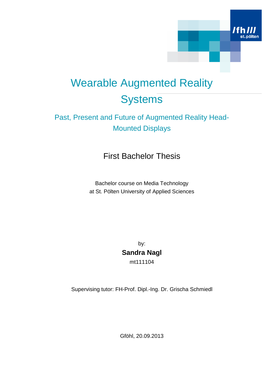

# Wearable Augmented Reality **Systems**

### Past, Present and Future of Augmented Reality Head-Mounted Displays

### First Bachelor Thesis

Bachelor course on Media Technology at St. Pölten University of Applied Sciences

> by: **Sandra Nagl** mt111104

Supervising tutor: FH-Prof. Dipl.-Ing. Dr. Grischa Schmiedl

Gföhl, 20.09.2013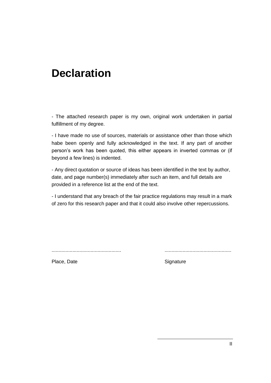## **Declaration**

- The attached research paper is my own, original work undertaken in partial fulfillment of my degree.

- I have made no use of sources, materials or assistance other than those which habe been openly and fully acknowledged in the text. If any part of another person's work has been quoted, this either appears in inverted commas or (if beyond a few lines) is indented.

- Any direct quotation or source of ideas has been identified in the text by author, date, and page number(s) immediately after such an item, and full details are provided in a reference list at the end of the text.

- I understand that any breach of the fair practice regulations may result in a mark of zero for this research paper and that it could also involve other repercussions.

.................................................. ................................................

Place, Date **Signature** Signature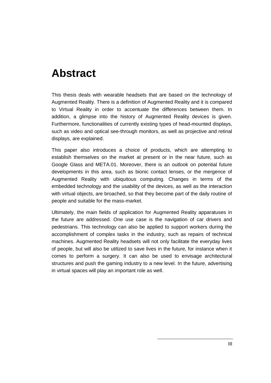## **Abstract**

This thesis deals with wearable headsets that are based on the technology of Augmented Reality. There is a definition of Augmented Reality and it is compared to Virtual Reality in order to accentuate the differences between them. In addition, a glimpse into the history of Augmented Reality devices is given. Furthermore, functionalities of currently existing types of head-mounted displays, such as video and optical see-through monitors, as well as projective and retinal displays, are explained.

This paper also introduces a choice of products, which are attempting to establish themselves on the market at present or in the near future, such as Google Glass and META.01. Moreover, there is an outlook on potential future developments in this area, such as bionic contact lenses, or the mergence of Augmented Reality with ubiquitous computing. Changes in terms of the embedded technology and the usability of the devices, as well as the interaction with virtual objects, are broached, so that they become part of the daily routine of people and suitable for the mass-market.

Ultimately, the main fields of application for Augmented Reality apparatuses in the future are addressed. One use case is the navigation of car drivers and pedestrians. This technology can also be applied to support workers during the accomplishment of complex tasks in the industry, such as repairs of technical machines. Augmented Reality headsets will not only facilitate the everyday lives of people, but will also be utilized to save lives in the future, for instance when it comes to perform a surgery. It can also be used to envisage architectural structures and push the gaming industry to a new level. In the future, advertising in virtual spaces will play an important role as well.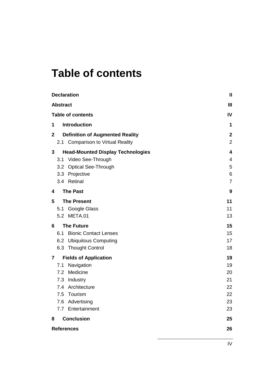## **Table of contents**

| <b>Declaration</b>                                                                          | $\mathbf{I}$                       |
|---------------------------------------------------------------------------------------------|------------------------------------|
| <b>Abstract</b>                                                                             | $\mathbf{III}$                     |
| <b>Table of contents</b>                                                                    | IV                                 |
| <b>Introduction</b><br>1                                                                    | 1                                  |
| <b>Definition of Augmented Reality</b><br>$\mathbf{2}$<br>2.1 Comparison to Virtual Reality | $\boldsymbol{2}$<br>$\overline{2}$ |
| 3<br><b>Head-Mounted Display Technologies</b>                                               | 4                                  |
| Video See-Through<br>3.1                                                                    | 4                                  |
| 3.2 Optical See-Through                                                                     | 5                                  |
| 3.3 Projective                                                                              | 6                                  |
| 3.4 Retinal                                                                                 | $\overline{7}$                     |
| <b>The Past</b><br>4                                                                        | 9                                  |
| 5<br><b>The Present</b>                                                                     | 11                                 |
| Google Glass<br>5.1                                                                         | 11                                 |
| 5.2 META.01                                                                                 | 13                                 |
| <b>The Future</b><br>6                                                                      | 15                                 |
| <b>Bionic Contact Lenses</b><br>6.1                                                         | 15                                 |
| <b>Ubiquitous Computing</b><br>6.2                                                          | 17                                 |
| 6.3 Thought Control                                                                         | 18                                 |
| <b>Fields of Application</b><br>$\mathbf{7}$                                                | 19                                 |
| Navigation<br>7.1                                                                           | 19                                 |
| Medicine<br>7.2                                                                             | 20                                 |
| 7.3<br>Industry                                                                             | 21                                 |
| 7.4 Architecture<br>7.5<br>Tourism                                                          | 22<br>22                           |
| 7.6 Advertising                                                                             | 23                                 |
| 7.7 Entertainment                                                                           | 23                                 |
|                                                                                             |                                    |
| <b>Conclusion</b><br>8                                                                      | 25                                 |
| <b>References</b>                                                                           | 26                                 |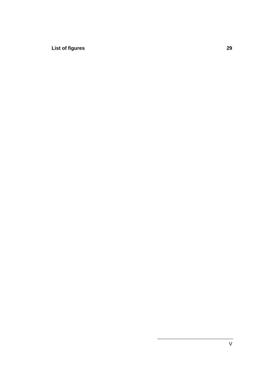**List of figures 29**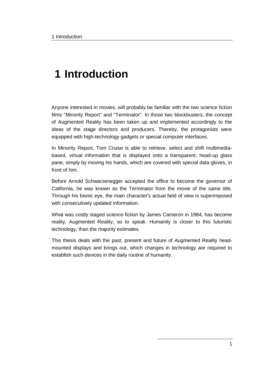## **1 Introduction**

Anyone interested in movies, will probably be familiar with the two science fiction films "Minority Report" and "Terminator". In those two blockbusters, the concept of Augmented Reality has been taken up and implemented accordingly to the ideas of the stage directors and producers. Thereby, the protagonists were equipped with high-technology gadgets or special computer interfaces.

In Minority Report, Tom Cruise is able to retrieve, select and shift multimediabased, virtual information that is displayed onto a transparent, head-up glass pane, simply by moving his hands, which are covered with special data gloves, in front of him.

Before Arnold Schwarzenegger accepted the office to become the governor of California, he was known as the Terminator from the movie of the same title. Through his bionic eye, the main character's actual field of view is superimposed with consecutively updated information.

What was costly staged science fiction by James Cameron in 1984, has become reality, Augmented Reality, so to speak. Humanity is closer to this futuristic technology, than the majority estimates.

This thesis deals with the past, present and future of Augmented Reality headmounted displays and brings out, which changes in technology are required to establish such devices in the daily routine of humanity.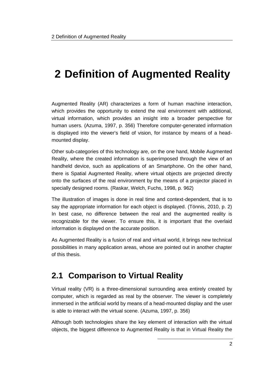## **2 Definition of Augmented Reality**

Augmented Reality (AR) characterizes a form of human machine interaction, which provides the opportunity to extend the real environment with additional, virtual information, which provides an insight into a broader perspective for human users. (Azuma, 1997, p. 356) Therefore computer-generated information is displayed into the viewer's field of vision, for instance by means of a headmounted display.

Other sub-categories of this technology are, on the one hand, Mobile Augmented Reality, where the created information is superimposed through the view of an handheld device, such as applications of an Smartphone. On the other hand, there is Spatial Augmented Reality, where virtual objects are projected directly onto the surfaces of the real environment by the means of a projector placed in specially designed rooms. (Raskar, Welch, Fuchs, 1998, p. 962)

The illustration of images is done in real time and context-dependent, that is to say the appropriate information for each object is displayed. (Tönnis, 2010, p. 2) In best case, no difference between the real and the augmented reality is recognizable for the viewer. To ensure this, it is important that the overlaid information is displayed on the accurate position.

As Augmented Reality is a fusion of real and virtual world, it brings new technical possibilities in many application areas, whose are pointed out in another chapter of this thesis.

### **2.1 Comparison to Virtual Reality**

Virtual reality (VR) is a three-dimensional surrounding area entirely created by computer, which is regarded as real by the observer. The viewer is completely immersed in the artificial world by means of a head-mounted display and the user is able to interact with the virtual scene. (Azuma, 1997, p. 356)

Although both technologies share the key element of interaction with the virtual objects, the biggest difference to Augmented Reality is that in Virtual Reality the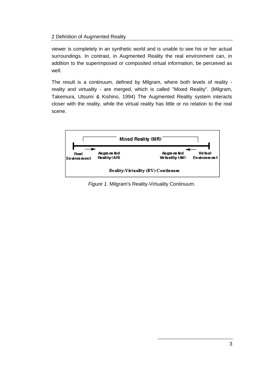#### 2 Definition of Augmented Reality

viewer is completely in an synthetic world and is unable to see his or her actual surroundings. In contrast, in Augmented Reality the real environment can, in addition to the superimposed or composited virtual information, be perceived as well.

The result is a continuum, defined by Milgram, where both levels of reality reality and virtuality - are merged, which is called "Mixed Reality". (Milgram, Takemura, Utsumi & Kishino, 1994) The Augmented Reality system interacts closer with the reality, while the virtual reality has little or no relation to the real scene.



*Figure 1.* Milgram's Reality-Virtuality Continuum.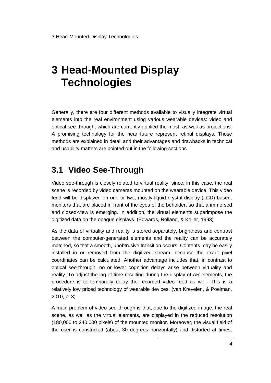Generally, there are four different methods available to visually integrate virtual elements into the real environment using various wearable devices: video and optical see-through, which are currently applied the most, as well as projections. A promising technology for the near future represent retinal displays. Those methods are explained in detail and their advantages and drawbacks in technical and usability matters are pointed out in the following sections.

### **3.1 Video See-Through**

Video see-through is closely related to virtual reality, since, in this case, the real scene is recorded by video cameras mounted on the wearable device. This video feed will be displayed on one or two, mostly liquid crystal display (LCD) based, monitors that are placed in front of the eyes of the beholder, so that a immersed and closed-view is emerging. In addition, the virtual elements superimpose the digitized data on the opaque displays. (Edwards, Rolland, & Keller, 1993)

As the data of virtuality and reality is stored separately, brightness and contrast between the computer-generated elements and the reality can be accurately matched, so that a smooth, unobtrusive transition occurs. Contents may be easily installed in or removed from the digitized stream, because the exact pixel coordinates can be calculated. Another advantage includes that, in contrast to optical see-through, no or lower cognition delays arise between virtuality and reality. To adjust the lag of time resulting during the display of AR elements, the procedure is to temporally delay the recorded video feed as well. This is a relatively low priced technology of wearable devices. (van Krevelen, & Poelman, 2010, p. 3)

A main problem of video see-through is that, due to the digitized image, the real scene, as well as the virtual elements, are displayed in the reduced resolution (180,000 to 240,000 pixels) of the mounted monitor. Moreover, the visual field of the user is constricted (about 30 degrees horizontally) and distorted at times,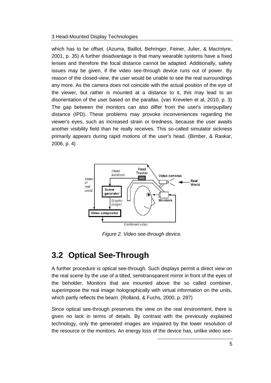which has to be offset. (Azuma, Baillot, Behringer, Feiner, Julier, & MacIntyre, 2001, p. 35) A further disadvantage is that many wearable systems have a fixed lenses and therefore the focal distance cannot be adapted. Additionally, safety issues may be given, if the video see-through device runs out of power. By reason of the closed-view, the user would be unable to see the real surroundings any more. As the camera does not coincide with the actual position of the eye of the viewer, but rather is mounted at a distance to it, this may lead to an disorientation of the user based on the parallax. (van Krevelen et al, 2010, p. 3) The gap between the monitors can also differ from the user's interpupillary distance (IPD). These problems may provoke inconveniences regarding the viewer's eyes, such as increased strain or tiredness, because the user awaits another visibility field than he really receives. This so-called simulator sickness primarily appears during rapid motions of the user's head. (Bimber, & Raskar, 2006, p. 4)



*Figure 2. Video see-through device.*

### **3.2 Optical See-Through**

A further procedure is optical see-through. Such displays permit a direct view on the real scene by the use of a tilted, semitransparent mirror in front of the eyes of the beholder. Monitors that are mounted above the so called combiner, superimpose the real image holographically with virtual information on the units, which partly reflects the beam. (Rolland, & Fuchs, 2000, p. 287)

Since optical see-through preserves the view on the real environment, there is given no lack in terms of details. By contrast with the previously explained technology, only the generated images are impaired by the lower resolution of the resource or the monitors. An energy loss of the device has, unlike video see-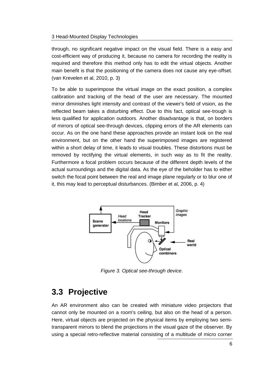through, no significant negative impact on the visual field. There is a easy and cost-efficient way of producing it, because no camera for recording the reality is required and therefore this method only has to edit the virtual objects. Another main benefit is that the positioning of the camera does not cause any eye-offset. (van Krevelen et al, 2010, p. 3)

To be able to superimpose the virtual image on the exact position, a complex calibration and tracking of the head of the user are necessary. The mounted mirror diminishes light intensity and contrast of the viewer's field of vision, as the reflected beam takes a disturbing effect. Due to this fact, optical see-trough is less qualified for application outdoors. Another disadvantage is that, on borders of mirrors of optical see-through devices, clipping errors of the AR elements can occur. As on the one hand these approaches provide an instant look on the real environment, but on the other hand the superimposed images are registered within a short delay of time, it leads to visual troubles. These distortions must be removed by rectifying the virtual elements, in such way as to fit the reality. Furthermore a focal problem occurs because of the different depth levels of the actual surroundings and the digital data. As the eye of the beholder has to either switch the focal point between the real and image plane regularly or to blur one of it, this may lead to perceptual disturbances. (Bimber et al, 2006, p. 4)



*Figure 3. Optical see-through device.*

### **3.3 Projective**

An AR environment also can be created with miniature video projectors that cannot only be mounted on a room's ceiling, but also on the head of a person. Here, virtual objects are projected on the physical items by employing two semitransparent mirrors to blend the projections in the visual gaze of the observer. By using a special retro-reflective material consisting of a multitude of micro corner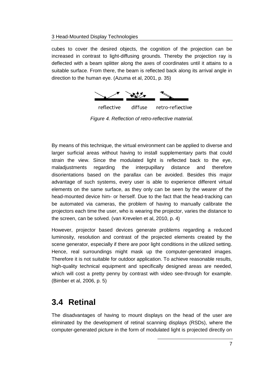cubes to cover the desired objects, the cognition of the projection can be increased in contrast to light-diffusing grounds. Thereby the projection ray is deflected with a beam splitter along the axes of coordinates until it attains to a suitable surface. From there, the beam is reflected back along its arrival angle in direction to the human eye. (Azuma et al, 2001, p. 35)



*Figure 4. Reflection of retro-reflective material.*

By means of this technique, the virtual environment can be applied to diverse and larger surficial areas without having to install supplementary parts that could strain the view. Since the modulated light is reflected back to the eye, maladjustments regarding the interpupillary distance and therefore disorientations based on the parallax can be avoided. Besides this major advantage of such systems, every user is able to experience different virtual elements on the same surface, as they only can be seen by the wearer of the head-mounted device him- or herself. Due to the fact that the head-tracking can be automated via cameras, the problem of having to manually calibrate the projectors each time the user, who is wearing the projector, varies the distance to the screen, can be solved. (van Krevelen et al, 2010, p. 4)

However, projector based devices generate problems regarding a reduced luminosity, resolution and contrast of the projected elements created by the scene generator, especially if there are poor light conditions in the utilized setting. Hence, real surroundings might mask up the computer-generated images. Therefore it is not suitable for outdoor application. To achieve reasonable results, high-quality technical equipment and specifically designed areas are needed, which will cost a pretty penny by contrast with video see-through for example. (Bimber et al, 2006, p. 5)

### **3.4 Retinal**

The disadvantages of having to mount displays on the head of the user are eliminated by the development of retinal scanning displays (RSDs), where the computer-generated picture in the form of modulated light is projected directly on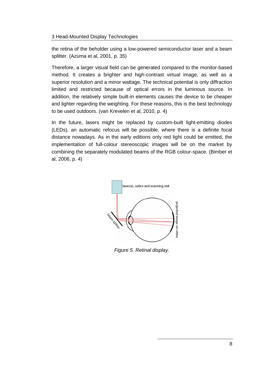the retina of the beholder using a low-powered semiconductor laser and a beam splitter. (Azuma et al, 2001, p. 35)

Therefore, a larger visual field can be generated compared to the monitor-based method. It creates a brighter and high-contrast virtual image, as well as a superior resolution and a minor wattage. The technical potential is only diffraction limited and restricted because of optical errors in the luminous source. In addition, the relatively simple built-in elements causes the device to be cheaper and lighter regarding the weighting. For these reasons, this is the best technology to be used outdoors. (van Krevelen et al, 2010, p. 4)

In the future, lasers might be replaced by custom-built light-emitting diodes (LEDs), an automatic refocus will be possible, where there is a definite focal distance nowadays. As in the early editions only red light could be emitted, the implementation of full-colour stereoscopic images will be on the market by combining the separately modulated beams of the RGB colour-space. (Bimber et al, 2006, p. 4)



*Figure 5. Retinal display.*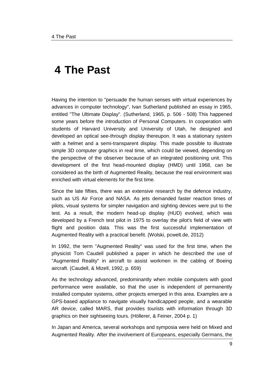## **4 The Past**

Having the intention to "persuade the human senses with virtual experiences by advances in computer technology", Ivan Sutherland published an essay in 1965, entitled "The Ultimate Display". (Sutherland, 1965, p. 506 - 508) This happened some years before the introduction of Personal Computers. In cooperation with students of Harvard University and University of Utah, he designed and developed an optical see-through display thereupon. It was a stationary system with a helmet and a semi-transparent display. This made possible to illustrate simple 3D computer graphics in real time, which could be viewed, depending on the perspective of the observer because of an integrated positioning unit. This development of the first head-mounted display (HMD) until 1968, can be considered as the birth of Augmented Reality, because the real environment was enriched with virtual elements for the first time.

Since the late fifties, there was an extensive research by the defence industry, such as US Air Force and NASA. As jets demanded faster reaction times of pilots, visual systems for simpler navigation and sighting devices were put to the test. As a result, the modern head-up display (HUD) evolved, which was developed by a French test pilot in 1975 to overlay the pilot's field of view with flight and position data. This was the first successful implementation of Augmented Reality with a practical benefit. (Wolski, pcwelt.de, 2012)

In 1992, the term "Augmented Reality" was used for the first time, when the physicist Tom Caudell published a paper in which he described the use of "Augmented Reality" in aircraft to assist workmen in the cabling of Boeing aircraft. (Caudell, & Mizell, 1992, p. 659)

As the technology advanced, predominantly when mobile computers with good performance were available, so that the user is independent of permanently installed computer systems, other projects emerged in this area. Examples are a GPS-based appliance to navigate visually handicapped people, and a wearable AR device, called MARS, that provides tourists with information through 3D graphics on their sightseeing tours. (Höllerer, & Feiner, 2004 p. 1)

In Japan and America, several workshops and symposia were held on Mixed and Augmented Reality. After the involvement of Europeans, especially Germans, the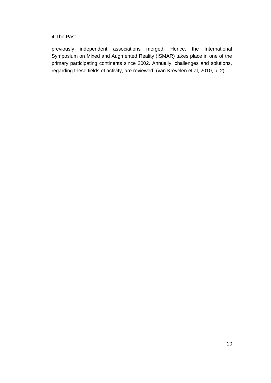previously independent associations merged. Hence, the International Symposium on Mixed and Augmented Reality (ISMAR) takes place in one of the primary participating continents since 2002. Annually, challenges and solutions, regarding these fields of activity, are reviewed. (van Krevelen et al, 2010, p. 2)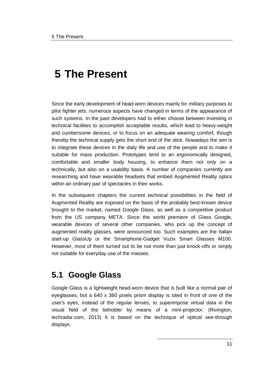Since the early development of head-worn devices mainly for military purposes to pilot fighter jets, numerous aspects have changed in terms of the appearance of such systems. In the past developers had to either choose between investing in technical facilities to accomplish acceptable results, which lead to heavy-weight and cumbersome devices, or to focus on an adequate wearing comfort, though thereby the technical supply gets the short end of the stick. Nowadays the aim is to integrate these devices in the daily life and use of the people and to make it suitable for mass production. Prototypes tend to an ergonomically designed, comfortable and smaller body housing, to enhance them not only on a technically, but also on a usability basis. A number of companies currently are researching and have wearable headsets that embed Augmented Reality optics within an ordinary pair of spectacles in their works.

In the subsequent chapters the current technical possibilities in the field of Augmented Reality are exposed on the basis of the probably best-known device brought to the market, named Google Glass, as well as a competitive product from the US company META. Since the world premiere of Glass Google, wearable devices of several other companies, who pick up the concept of augmented reality glasses, were announced too. Such examples are the Italian start-up GlassUp or the Smartphone-Gadget Vuzix Smart Glasses M100. However, most of them turned out to be not more than just knock-offs or simply not suitable for everyday use of the masses.

### **5.1 Google Glass**

Google Glass is a lightweight head-worn device that is built like a normal pair of eyeglasses, but a 640 x 360 pixels prism display is sited in front of one of the user's eyes, instead of the regular lenses, to superimpose virtual data in the visual field of the beholder by means of a mini-projector. (Rivington, techradar.com, 2013) It is based on the technique of optical see-through displays.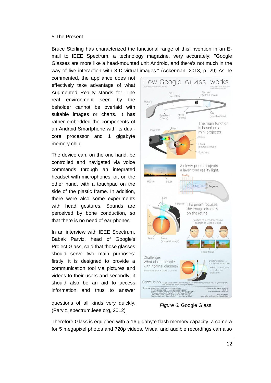Bruce Sterling has characterized the functional range of this invention in an Email to IEEE Spectrum, a technology magazine, very accurately: "Google Glasses are more like a head-mounted unit Android, and there's not much in the way of live interaction with 3-D virtual images." (Ackerman, 2013, p. 29) As he

commented, the appliance does not effectively take advantage of what Augmented Reality stands for. The real environment seen by the beholder cannot be overlaid with suitable images or charts. It has rather embedded the components of an Android Smartphone with its dualcore processor and 1 gigabyte memory chip.

The device can, on the one hand, be controlled and navigated via voice commands through an integrated headset with microphones, or, on the other hand, with a touchpad on the side of the plastic frame. In addition, there were also some experiments with head gestures. Sounds are perceived by bone conduction, so that there is no need of ear-phones.

In an interview with IEEE Spectrum, Babak Parviz, head of Google's Project Glass, said that those glasses should serve two main purposes: firstly, it is designed to provide a communication tool via pictures and videos to their users and secondly, it should also be an aid to access information and thus to answer

questions of all kinds very quickly. (Parviz, spectrum.ieee.org, 2012)



*Figure 6.* Google Glass.

Therefore Glass is equipped with a 16 gigabyte flash memory capacity, a camera for 5 megapixel photos and 720p videos. Visual and audible recordings can also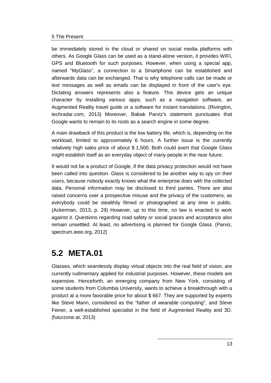be immediately stored in the cloud or shared on social media platforms with others. As Google Glass can be used as a stand-alone version, it provides WIFI, GPS and Bluetooth for such purposes. However, when using a special app, named "MyGlass", a connection to a Smartphone can be established and afterwards data can be exchanged. That is why telephone calls can be made or text messages as well as emails can be displayed in front of the user's eye. Dictating answers represents also a feature. This device gets an unique character by installing various apps, such as a navigation software, an Augmented Reality travel guide or a software for instant translations. (Rivington, techradar.com, 2013) Moreover, Babak Parviz's statement punctuates that Google wants to remain to its roots as a search engine in some degree.

A main drawback of this product is the low battery life, which is, depending on the workload, limited to approximately 6 hours. A further issue is the currently relatively high sales price of about \$ 1,500. Both could avert that Google Glass might establish itself as an everyday object of many people in the near future.

It would not be a product of Google, if the data privacy protection would not have been called into question. Glass is considered to be another way to spy on their users, because nobody exactly knows what the enterprise does with the collected data. Personal information may be disclosed to third parties. There are also raised concerns over a prospective misuse and the privacy of the customers, as everybody could be stealthily filmed or photographed at any time in public. (Ackerman, 2013, p. 29) However, up to this time, no law is enacted to work against it. Questions regarding road safety or social graces and acceptance also remain unsettled. At least, no advertising is planned for Google Glass. (Parviz, spectrum.ieee.org, 2012)

### **5.2 META.01**

Glasses, which seamlessly display virtual objects into the real field of vision, are currently rudimentary applied for industrial purposes. However, these models are expensive. Henceforth, an emerging company from New York, consisting of some students from Columbia University, wants to achieve a breakthrough with a product at a more favorable price for about \$ 667. They are supported by experts like Steve Mann, considered as the "father of wearable computing", and Steve Feiner, a well-established specialist in the field of Augmented Reality and 3D. (futurzone.at, 2013)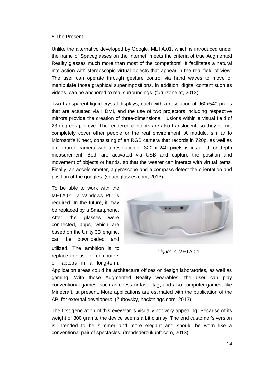Unlike the alternative developed by Google, META.01, which is introduced under the name of Spaceglasses on the Internet, meets the criteria of true Augmented Reality glasses much more than most of the competitors'. It facilitates a natural interaction with stereoscopic virtual objects that appear in the real field of view. The user can operate through gesture control via hand waves to move or manipulate those graphical superimpositions. In addition, digital content such as videos, can be anchored to real surroundings. (futurzone.at, 2013)

Two transparent liquid-crystal displays, each with a resolution of 960x540 pixels that are actuated via HDMI, and the use of two projectors including respective mirrors provide the creation of three-dimensional illusions within a visual field of 23 degrees per eye. The rendered contents are also translucent, so they do not completely cover other people or the real environment. A module, similar to Microsoft's Kinect, consisting of an RGB camera that records in 720p, as well as an infrared camera with a resolution of 320 x 240 pixels is installed for depth measurement. Both are activated via USB and capture the position and movement of objects or hands, so that the wearer can interact with virtual items. Finally, an accelerometer, a gyroscope and a compass detect the orientation and position of the goggles. (spaceglasses.com, 2013)

To be able to work with the META.01, a Windows PC is required. In the future, it may be replaced by a Smartphone. After the glasses were connected, apps, which are based on the Unity 3D engine, can be downloaded and utilized. The ambition is to replace the use of computers or laptops in a long-term.



*Figure 7.* META.01

Application areas could be architecture offices or design laboratories, as well as gaming. With those Augmented Reality wearables, the user can play conventional games, such as chess or laser tag, and also computer games, like Minecraft, at present. More applications are estimated with the publication of the API for external developers. (Zubovsky, hackthings.com, 2013)

The first generation of this eyewear is visually not very appealing. Because of its weight of 300 grams, the device seems a bit clumsy. The end customer's version is intended to be slimmer and more elegant and should be worn like a conventional pair of spectacles. (trendsderzukunft.com, 2013)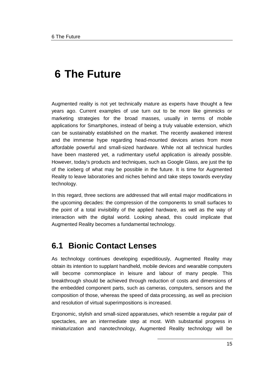Augmented reality is not yet technically mature as experts have thought a few years ago. Current examples of use turn out to be more like gimmicks or marketing strategies for the broad masses, usually in terms of mobile applications for Smartphones, instead of being a truly valuable extension, which can be sustainably established on the market. The recently awakened interest and the immense hype regarding head-mounted devices arises from more affordable powerful and small-sized hardware. While not all technical hurdles have been mastered yet, a rudimentary useful application is already possible. However, today's products and techniques, such as Google Glass, are just the tip of the iceberg of what may be possible in the future. It is time for Augmented Reality to leave laboratories and niches behind and take steps towards everyday technology.

In this regard, three sections are addressed that will entail major modifications in the upcoming decades: the compression of the components to small surfaces to the point of a total invisibility of the applied hardware, as well as the way of interaction with the digital world. Looking ahead, this could implicate that Augmented Reality becomes a fundamental technology.

### **6.1 Bionic Contact Lenses**

As technology continues developing expeditiously, Augmented Reality may obtain its intention to supplant handheld, mobile devices and wearable computers will become commonplace in leisure and labour of many people. This breakthrough should be achieved through reduction of costs and dimensions of the embedded component parts, such as cameras, computers, sensors and the composition of those, whereas the speed of data processing, as well as precision and resolution of virtual superimpositions is increased.

Ergonomic, stylish and small-sized apparatuses, which resemble a regular pair of spectacles, are an intermediate step at most. With substantial progress in miniaturization and nanotechnology, Augmented Reality technology will be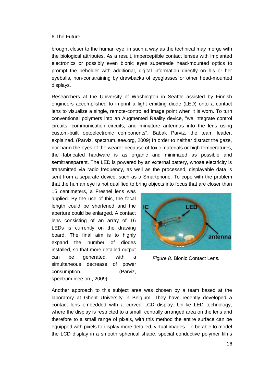brought closer to the human eye, in such a way as the technical may merge with the biological attributes. As a result, imperceptible contact lenses with implanted electronics or possibly even bionic eyes supersede head-mounted optics to prompt the beholder with additional, digital information directly on his or her eyeballs, non-constraining by drawbacks of eyeglasses or other head-mounted displays.

Researchers at the University of Washington in Seattle assisted by Finnish engineers accomplished to imprint a light emitting diode (LED) onto a contact lens to visualize a single, remote-controlled image point when it is worn. To turn conventional polymers into an Augmented Reality device, "we integrate control circuits, communication circuits, and miniature antennas into the lens using custom-built optoelectronic components", Babak Parviz, the team leader, explained. (Parviz, spectrum.ieee.org, 2009) In order to neither distract the gaze, nor harm the eyes of the wearer because of toxic materials or high temperatures, the fabricated hardware is as organic and minimized as possible and semitransparent. The LED is powered by an external battery, whose electricity is transmitted via radio frequency, as well as the processed, displayable data is sent from a separate device, such as a Smartphone. To cope with the problem that the human eye is not qualified to bring objects into focus that are closer than

15 centimeters, a Fresnel lens was applied. By the use of this, the focal length could be shortened and the aperture could be enlarged. A contact lens consisting of an array of 16 LEDs is currently on the drawing board. The final aim is to highly expand the number of diodes installed, so that more detailed output can be generated, with a simultaneous decrease of power consumption. (Parviz, spectrum.ieee.org, 2009)



*Figure 8.* Bionic Contact Lens*.*

Another approach to this subject area was chosen by a team based at the laboratory at Ghent University in Belgium. They have recently developed a contact lens embedded with a curved LCD display. Unlike LED technology, where the display is restricted to a small, centrally arranged area on the lens and therefore to a small range of pixels, with this method the entire surface can be equipped with pixels to display more detailed, virtual images. To be able to model the LCD display in a smooth spherical shape, special conductive polymer films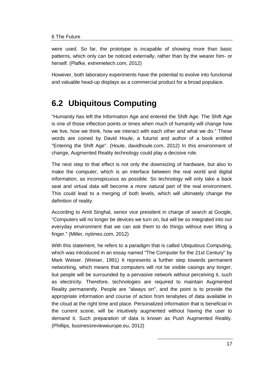were used. So far, the prototype is incapable of showing more than basic patterns, which only can be noticed externally, rather than by the wearer him- or herself. (Plafke, extremetech.com, 2012)

However, both laboratory experiments have the potential to evolve into functional and valuable head-up displays as a commercial product for a broad populace.

### **6.2 Ubiquitous Computing**

"Humanity has left the Information Age and entered the Shift Age. The Shift Age is one of those inflection points or times when much of humanity will change how we live, how we think, how we interact with each other and what we do." These words are coined by David Houle, a futurist and author of a book entitled "Entering the Shift Age". (Houle, davidhoule.com, 2012) In this environment of change, Augmented Reality technology could play a decisive role.

The next step to that effect is not only the downsizing of hardware, but also to make the computer, which is an interface between the real world and digital information, as inconspicuous as possible. So technology will only take a back seat and virtual data will become a more natural part of the real environment. This could lead to a merging of both levels, which will ultimately change the definition of reality.

According to Amit Singhal, senior vice president in charge of search at Google, "Computers will no longer be devices we turn on, but will be so integrated into our everyday environment that we can ask them to do things without ever lifting a finger." (Miller, nytimes.com, 2012)

With this statement, he refers to a paradigm that is called Ubiquitous Computing, which was introduced in an essay named "The Computer for the 21st Century" by Mark Weiser. (Weiser, 1991) It represents a further step towards permanent networking, which means that computers will not be visible casings any longer, but people will be surrounded by a pervasive network without perceiving it, such as electricity. Therefore, technologies are required to maintain Augmented Reality permanently. People are "always on", and the point is to provide the appropriate information and course of action from terabytes of data available in the cloud at the right time and place. Personalized information that is beneficial in the current scene, will be intuitively augmented without having the user to demand it. Such preparation of data is known as Push Augmented Reality. (Phillips, businessrevieweurope.eu, 2012)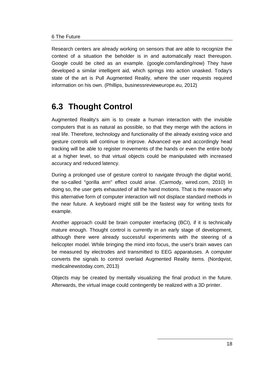Research centers are already working on sensors that are able to recognize the context of a situation the beholder is in and automatically react thereupon. Google could be cited as an example. (google.com/landing/now) They have developed a similar intelligent aid, which springs into action unasked. Today's state of the art is Pull Augmented Reality, where the user requests required information on his own. (Phillips, businessrevieweurope.eu, 2012)

### **6.3 Thought Control**

Augmented Reality's aim is to create a human interaction with the invisible computers that is as natural as possible, so that they merge with the actions in real life. Therefore, technology and functionality of the already existing voice and gesture controls will continue to improve. Advanced eye and accordingly head tracking will be able to register movements of the hands or even the entire body at a higher level, so that virtual objects could be manipulated with increased accuracy and reduced latency.

During a prolonged use of gesture control to navigate through the digital world, the so-called "gorilla arm" effect could arise. (Carmody, wired.com, 2010) In doing so, the user gets exhausted of all the hand motions. That is the reason why this alternative form of computer interaction will not displace standard methods in the near future. A keyboard might still be the fastest way for writing texts for example.

Another approach could be brain computer interfacing (BCI), if it is technically mature enough. Thought control is currently in an early stage of development, although there were already successful experiments with the steering of a helicopter model. While bringing the mind into focus, the user's brain waves can be measured by electrodes and transmitted to EEG apparatuses. A computer converts the signals to control overlaid Augmented Reality items. (Nordqvist, medicalnewstoday.com, 2013)

Objects may be created by mentally visualizing the final product in the future. Afterwards, the virtual image could contingently be realized with a 3D printer.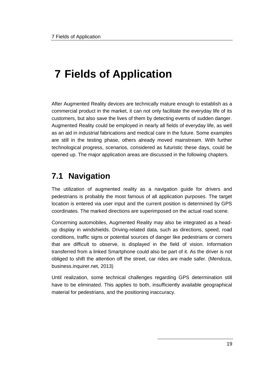## **7 Fields of Application**

After Augmented Reality devices are technically mature enough to establish as a commercial product in the market, it can not only facilitate the everyday life of its customers, but also save the lives of them by detecting events of sudden danger. Augmented Reality could be employed in nearly all fields of everyday life, as well as an aid in industrial fabrications and medical care in the future. Some examples are still in the testing phase, others already moved mainstream. With further technological progress, scenarios, considered as futuristic these days, could be opened up. The major application areas are discussed in the following chapters.

### **7.1 Navigation**

The utilization of augmented reality as a navigation guide for drivers and pedestrians is probably the most famous of all application purposes. The target location is entered via user input and the current position is determined by GPS coordinates. The marked directions are superimposed on the actual road scene.

Concerning automobiles, Augmented Reality may also be integrated as a headup display in windshields. Driving-related data, such as directions, speed, road conditions, traffic signs or potential sources of danger like pedestrians or corners that are difficult to observe, is displayed in the field of vision. Information transferred from a linked Smartphone could also be part of it. As the driver is not obliged to shift the attention off the street, car rides are made safer. (Mendoza, business.inquirer.net, 2013)

Until realization, some technical challenges regarding GPS determination still have to be eliminated. This applies to both, insufficiently available geographical material for pedestrians, and the positioning inaccuracy.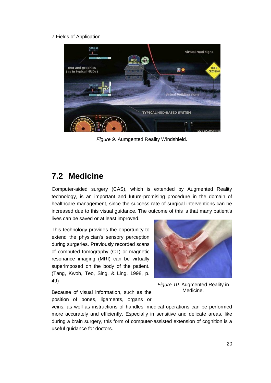#### 7 Fields of Application



*Figure 9.* Aumgented Reality Windshield.

### **7.2 Medicine**

Computer-aided surgery (CAS), which is extended by Augmented Reality technology, is an important and future-promising procedure in the domain of healthcare management, since the success rate of surgical interventions can be increased due to this visual guidance. The outcome of this is that many patient's lives can be saved or at least improved.

This technology provides the opportunity to extend the physician's sensory perception during surgeries. Previously recorded scans of computed tomography (CT) or magnetic resonance imaging (MRI) can be virtually superimposed on the body of the patient. (Tang, Kwoh, Teo, Sing, & Ling, 1998, p. 49)

*Figure 10.* Augmented Reality in Medicine.

Because of visual information, such as the position of bones, ligaments, organs or

veins, as well as instructions of handles, medical operations can be performed more accurately and efficiently. Especially in sensitive and delicate areas, like during a brain surgery, this form of computer-assisted extension of cognition is a useful guidance for doctors.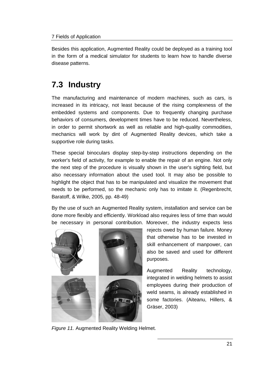Besides this application, Augmented Reality could be deployed as a training tool in the form of a medical simulator for students to learn how to handle diverse disease patterns.

### **7.3 Industry**

The manufacturing and maintenance of modern machines, such as cars, is increased in its intricacy, not least because of the rising complexness of the embedded systems and components. Due to frequently changing purchase behaviors of consumers, development times have to be reduced. Nevertheless, in order to permit shortwork as well as reliable and high-quality commodities, mechanics will work by dint of Augmented Reality devices, which take a supportive role during tasks.

These special binoculars display step-by-step instructions depending on the worker's field of activity, for example to enable the repair of an engine. Not only the next step of the procedure is visually shown in the user's sighting field, but also necessary information about the used tool. It may also be possible to highlight the object that has to be manipulated and visualize the movement that needs to be performed, so the mechanic only has to imitate it. (Regenbrecht, Baratoff, & Wilke, 2005, pp. 48-49)

By the use of such an Augmented Reality system, installation and service can be done more flexibly and efficiently. Workload also requires less of time than would be necessary in personal contribution. Moreover, the industry expects less



rejects owed by human failure. Money that otherwise has to be invested in skill enhancement of manpower, can also be saved and used for different purposes.

Augmented Reality technology, integrated in welding helmets to assist employees during their production of weld seams, is already established in some factories. (Aiteanu, Hillers, & Gräser, 2003)

*Figure 11.* Augmented Reality Welding Helmet.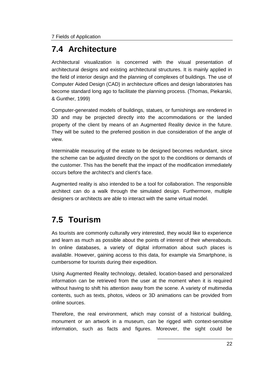### **7.4 Architecture**

Architectural visualization is concerned with the visual presentation of architectural designs and existing architectural structures. It is mainly applied in the field of interior design and the planning of complexes of buildings. The use of Computer Aided Design (CAD) in architecture offices and design laboratories has become standard long ago to facilitate the planning process. (Thomas, Piekarski, & Gunther, 1999)

Computer-generated models of buildings, statues, or furnishings are rendered in 3D and may be projected directly into the accommodations or the landed property of the client by means of an Augmented Reality device in the future. They will be suited to the preferred position in due consideration of the angle of view.

Interminable measuring of the estate to be designed becomes redundant, since the scheme can be adjusted directly on the spot to the conditions or demands of the customer. This has the benefit that the impact of the modification immediately occurs before the architect's and client's face.

Augmented reality is also intended to be a tool for collaboration. The responsible architect can do a walk through the simulated design. Furthermore, multiple designers or architects are able to interact with the same virtual model.

### **7.5 Tourism**

As tourists are commonly culturally very interested, they would like to experience and learn as much as possible about the points of interest of their whereabouts. In online databases, a variety of digital information about such places is available. However, gaining access to this data, for example via Smartphone, is cumbersome for tourists during their expedition.

Using Augmented Reality technology, detailed, location-based and personalized information can be retrieved from the user at the moment when it is required without having to shift his attention away from the scene. A variety of multimedia contents, such as texts, photos, videos or 3D animations can be provided from online sources.

Therefore, the real environment, which may consist of a historical building, monument or an artwork in a museum, can be rigged with context-sensitive information, such as facts and figures. Moreover, the sight could be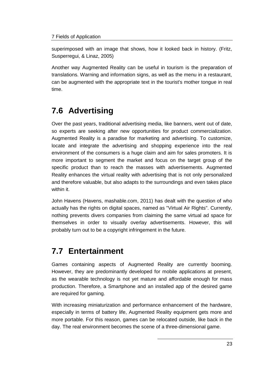#### 7 Fields of Application

superimposed with an image that shows, how it looked back in history. (Fritz, Susperregui, & Linaz, 2005)

Another way Augmented Reality can be useful in tourism is the preparation of translations. Warning and information signs, as well as the menu in a restaurant, can be augmented with the appropriate text in the tourist's mother tongue in real time.

### **7.6 Advertising**

Over the past years, traditional advertising media, like banners, went out of date, so experts are seeking after new opportunities for product commercialization. Augmented Reality is a paradise for marketing and advertising. To customize, locate and integrate the advertising and shopping experience into the real environment of the consumers is a huge claim and aim for sales promoters. It is more important to segment the market and focus on the target group of the specific product than to reach the masses with advertisements. Augmented Reality enhances the virtual reality with advertising that is not only personalized and therefore valuable, but also adapts to the surroundings and even takes place within it.

John Havens (Havens, mashable.com, 2011) has dealt with the question of who actually has the rights on digital spaces, named as "Virtual Air Rights". Currently, nothing prevents divers companies from claiming the same virtual ad space for themselves in order to visually overlay advertisements. However, this will probably turn out to be a copyright infringement in the future.

### **7.7 Entertainment**

Games containing aspects of Augmented Reality are currently booming. However, they are predominantly developed for mobile applications at present, as the wearable technology is not yet mature and affordable enough for mass production. Therefore, a Smartphone and an installed app of the desired game are required for gaming.

With increasing miniaturization and performance enhancement of the hardware, especially in terms of battery life, Augmented Reality equipment gets more and more portable. For this reason, games can be relocated outside, like back in the day. The real environment becomes the scene of a three-dimensional game.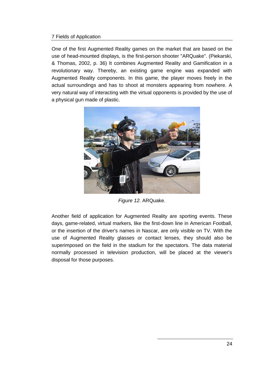#### 7 Fields of Application

One of the first Augmented Reality games on the market that are based on the use of head-mounted displays, is the first-person shooter "ARQuake". (Piekarski, & Thomas, 2002, p. 36) It combines Augmented Reality and Gamification in a revolutionary way. Thereby, an existing game engine was expanded with Augmented Reality components. In this game, the player moves freely in the actual surroundings and has to shoot at monsters appearing from nowhere. A very natural way of interacting with the virtual opponents is provided by the use of a physical gun made of plastic.



*Figure 12.* ARQuake.

Another field of application for Augmented Reality are sporting events. These days, game-related, virtual markers, like the first-down line in American Football, or the insertion of the driver's names in Nascar, are only visible on TV. With the use of Augmented Reality glasses or contact lenses, they should also be superimposed on the field in the stadium for the spectators. The data material normally processed in television production, will be placed at the viewer's disposal for those purposes.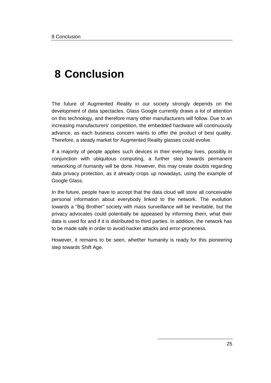## **8 Conclusion**

The future of Augmented Reality in our society strongly depends on the development of data spectacles. Glass Google currently draws a lot of attention on this technology, and therefore many other manufacturers will follow. Due to an increasing manufacturers' competition, the embedded hardware will continuously advance, as each business concern wants to offer the product of best quality. Therefore, a steady market for Augmented Reality glasses could evolve.

If a majority of people applies such devices in their everyday lives, possibly in conjunction with ubiquitous computing, a further step towards permanent networking of humanity will be done. However, this may create doubts regarding data privacy protection, as it already crops up nowadays, using the example of Google Glass.

In the future, people have to accept that the data cloud will store all conceivable personal information about everybody linked to the network. The evolution towards a "Big Brother" society with mass surveillance will be inevitable, but the privacy advocates could potentially be appeased by informing them, what their data is used for and if it is distributed to third parties. In addition, the network has to be made safe in order to avoid hacker attacks and error-proneness.

However, it remains to be seen, whether humanity is ready for this pioneering step towards Shift Age.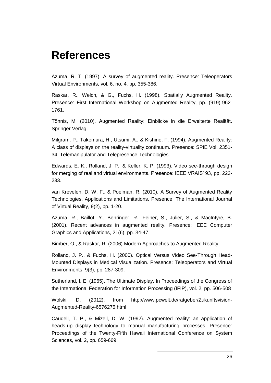## **References**

Azuma, R. T. (1997). A survey of augmented reality. Presence: Teleoperators Virtual Environments, vol. 6, no. 4, pp. 355-386.

Raskar, R., Welch, & G., Fuchs, H. (1998). Spatially Augmented Reality. Presence: First International Workshop on Augmented Reality, pp. (919)-962- 1761.

Tönnis, M. (2010). Augmented Reality: Einblicke in die Erweiterte Realität. Springer Verlag.

Milgram, P., Takemura, H., Utsumi, A., & Kishino, F. (1994). Augmented Reality: A class of displays on the reality-virtuality continuum. Presence: SPIE Vol. 2351- 34, Telemanipulator and Telepresence Technologies

Edwards, E. K., Rolland, J. P., & Keller, K. P. (1993). Video see-through design for merging of real and virtual environments. Presence: IEEE VRAIS' 93, pp. 223-233.

van Krevelen, D. W. F., & Poelman, R. (2010). A Survey of Augmented Reality Technologies, Applications and Limitations. Presence: The International Journal of Virtual Reality, 9(2), pp. 1-20.

Azuma, R., Baillot, Y., Behringer, R., Feiner, S., Julier, S., & MacIntyre, B. (2001). Recent advances in augmented reality. Presence: IEEE Computer Graphics and Applications, 21(6), pp. 34-47.

Bimber, O., & Raskar, R. (2006) Modern Approaches to Augmented Reality.

Rolland, J. P., & Fuchs, H. (2000). Optical Versus Video See-Through Head-Mounted Displays in Medical Visualization. Presence: Teleoperators and Virtual Environments, 9(3), pp. 287-309.

Sutherland, I. E. (1965). The Ultimate Display. In Proceedings of the Congress of the International Federation for Information Processing (IFIP), vol. 2, pp. 506-508

Wolski. D. (2012). from http://www.pcwelt.de/ratgeber/Zukunftsvision-Augmented-Reality-6576275.html

Caudell, T. P., & Mizell, D. W. (1992). Augmented reality: an application of heads-up display technology to manual manufacturing processes. Presence: Proceedings of the Twenty-Fifth Hawaii International Conference on System Sciences, vol. 2, pp. 659-669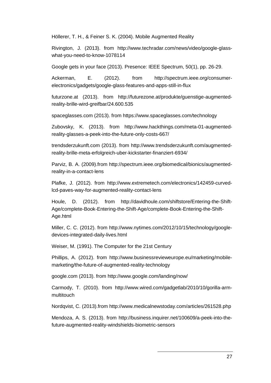Höllerer, T. H., & Feiner S. K. (2004). Mobile Augmented Reality

Rivington, J. (2013). from http://www.techradar.com/news/video/google-glasswhat-you-need-to-know-1078114

Google gets in your face (2013). Presence: IEEE Spectrum, 50(1), pp. 26-29.

Ackerman, E. (2012). from http://spectrum.ieee.org/consumerelectronics/gadgets/google-glass-features-and-apps-still-in-flux

futurzone.at (2013). from http://futurezone.at/produkte/guenstige-augmentedreality-brille-wird-greifbar/24.600.535

spaceglasses.com (2013). from https://www.spaceglasses.com/technology

Zubovsky, K. (2013). from http://www.hackthings.com/meta-01-augmentedreality-glasses-a-peek-into-the-future-only-costs-667/

trendsderzukunft.com (2013). from http://www.trendsderzukunft.com/augmentedreality-brille-meta-erfolgreich-uber-kickstarter-finanziert-6934/

Parviz, B. A. (2009).from http://spectrum.ieee.org/biomedical/bionics/augmentedreality-in-a-contact-lens

Plafke, J. (2012). from http://www.extremetech.com/electronics/142459-curvedlcd-paves-way-for-augmented-reality-contact-lens

Houle, D. (2012). from http://davidhoule.com/shiftstore/Entering-the-Shift-Age/complete-Book-Entering-the-Shift-Age/complete-Book-Entering-the-Shift-Age.html

Miller, C. C. (2012). from http://www.nytimes.com/2012/10/15/technology/googledevices-integrated-daily-lives.html

Weiser, M. (1991). The Computer for the 21st Century

Phillips, A. (2012). from http://www.businessrevieweurope.eu/marketing/mobilemarketing/the-future-of-augmented-reality-technology

google.com (2013). from http://www.google.com/landing/now/

Carmody, T. (2010). from http://www.wired.com/gadgetlab/2010/10/gorilla-armmultitouch

Nordqvist, C. (2013).from http://www.medicalnewstoday.com/articles/261528.php

Mendoza, A. S. (2013). from http://business.inquirer.net/100609/a-peek-into-thefuture-augmented-reality-windshields-biometric-sensors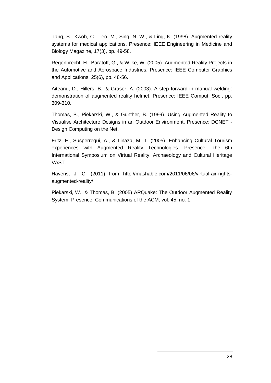Tang, S., Kwoh, C., Teo, M., Sing, N. W., & Ling, K. (1998). Augmented reality systems for medical applications. Presence: IEEE Engineering in Medicine and Biology Magazine, 17(3), pp. 49-58.

Regenbrecht, H., Baratoff, G., & Wilke, W. (2005). Augmented Reality Projects in the Automotive and Aerospace Industries. Presence: IEEE Computer Graphics and Applications, 25(6), pp. 48-56.

Aiteanu, D., Hillers, B., & Graser, A. (2003). A step forward in manual welding: demonstration of augmented reality helmet. Presence: IEEE Comput. Soc., pp. 309-310.

Thomas, B., Piekarski, W., & Gunther, B. (1999). Using Augmented Reality to Visualise Architecture Designs in an Outdoor Environment. Presence: DCNET - Design Computing on the Net.

Fritz, F., Susperregui, A., & Linaza, M. T. (2005). Enhancing Cultural Tourism experiences with Augmented Reality Technologies. Presence: The 6th International Symposium on Virtual Reality, Archaeology and Cultural Heritage VAST

Havens, J. C. (2011) from http://mashable.com/2011/06/06/virtual-air-rightsaugmented-reality/

Piekarski, W., & Thomas, B. (2005) ARQuake: The Outdoor Augmented Reality System. Presence: Communications of the ACM, vol. 45, no. 1.